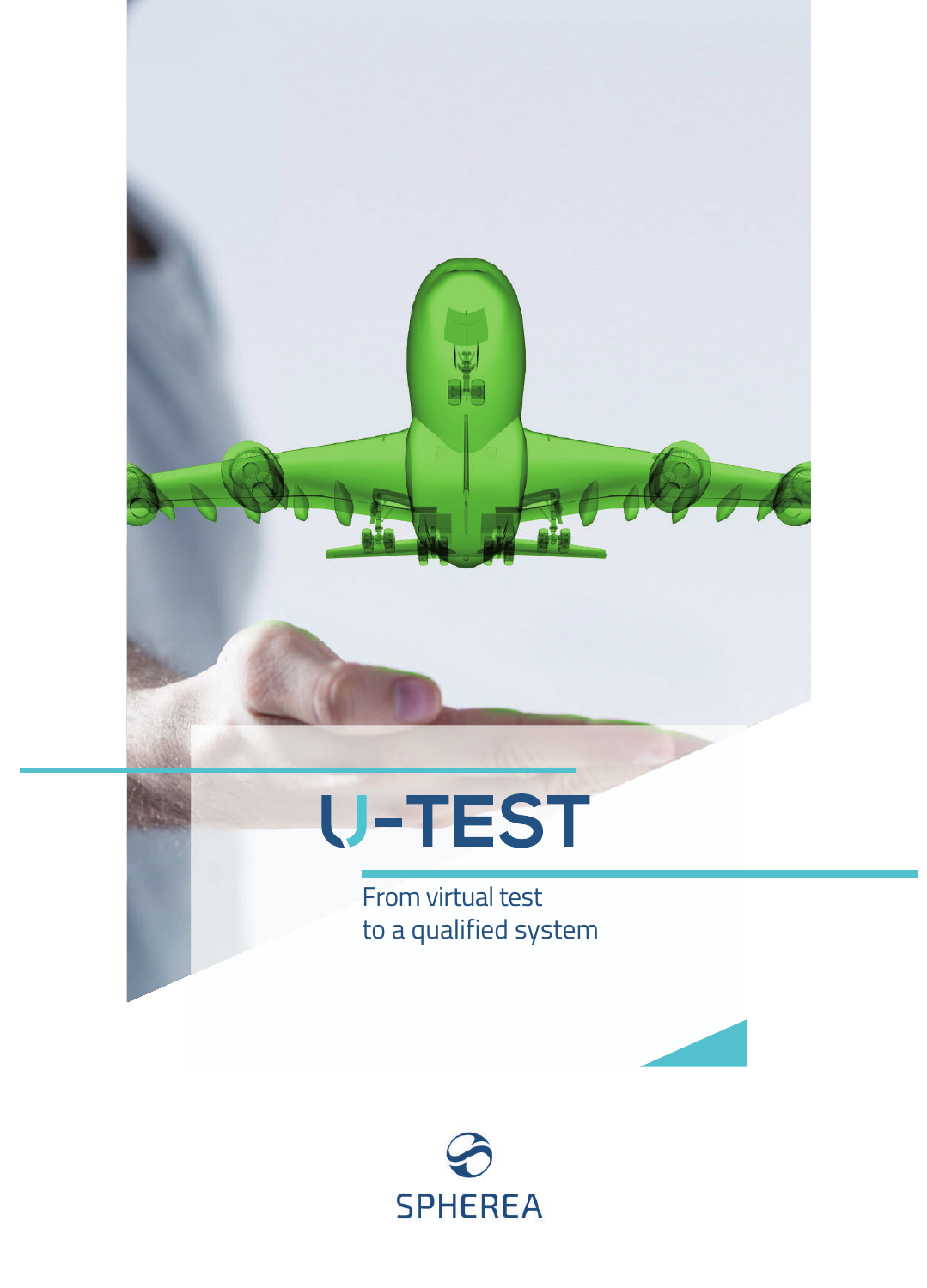



to a qualified system From virtual test

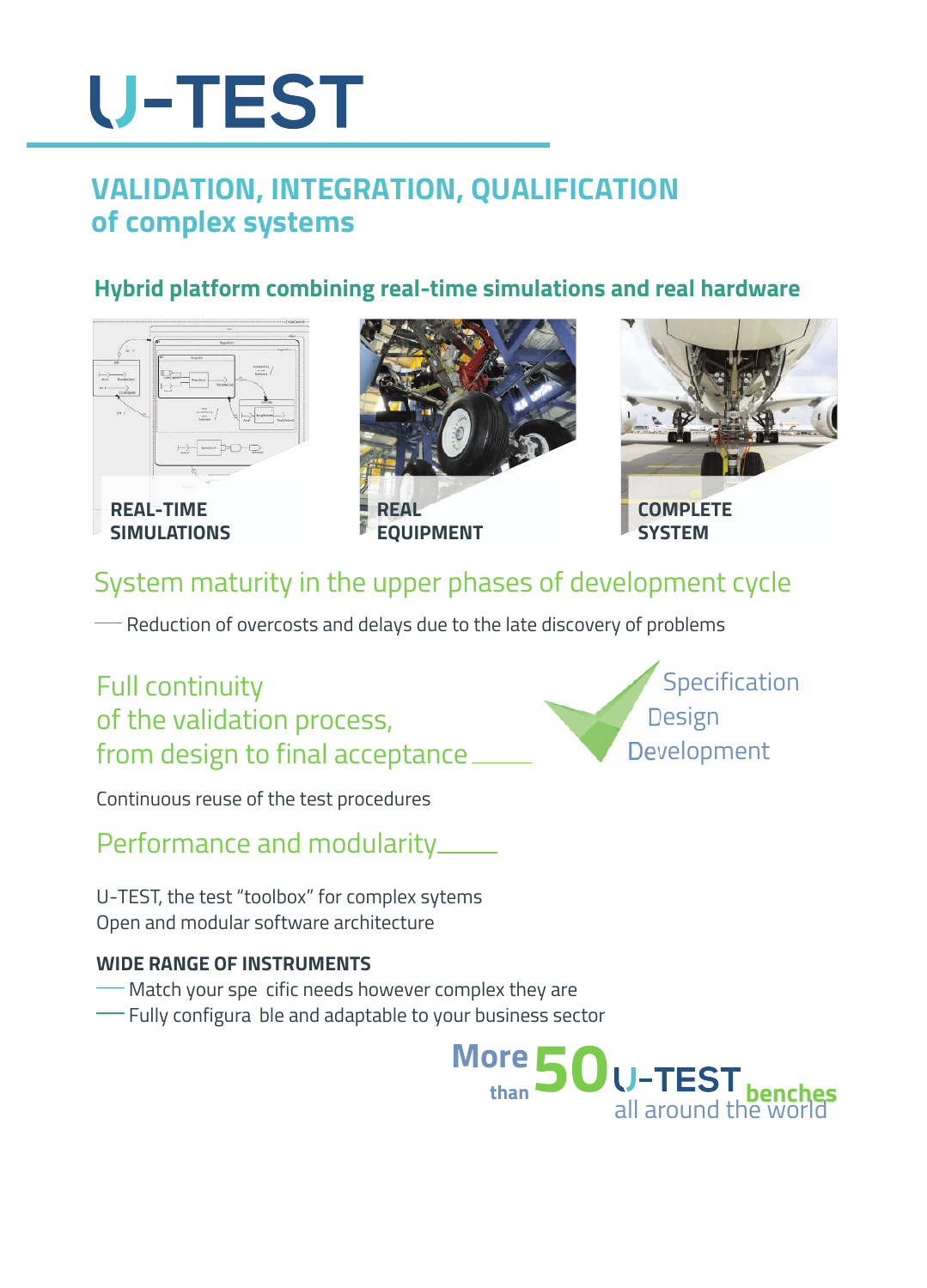## **U-TEST**

## **VALIDATION, INTEGRATION, QUALIFICATION of complex systems**

### **Hybrid platform combining real-time simulations and real hardware**



**REAL-TIME SIMULATIONS**





Specification

**Design** 

Development

## System maturity in the upper phases of development cycle

Reduction of overcosts and delays due to the late discovery of problems

### Full continuity of the validation process, from design to final acceptance

Continuous reuse of the test procedures

Performance and modularity

U-TEST, the test "toolbox" for complex sytems Open and modular software architecture

#### **WIDE RANGE OF INSTRUMENTS**

- Match your spe cific needs however complex they are
- Fully configura ble and adaptable to your business sector

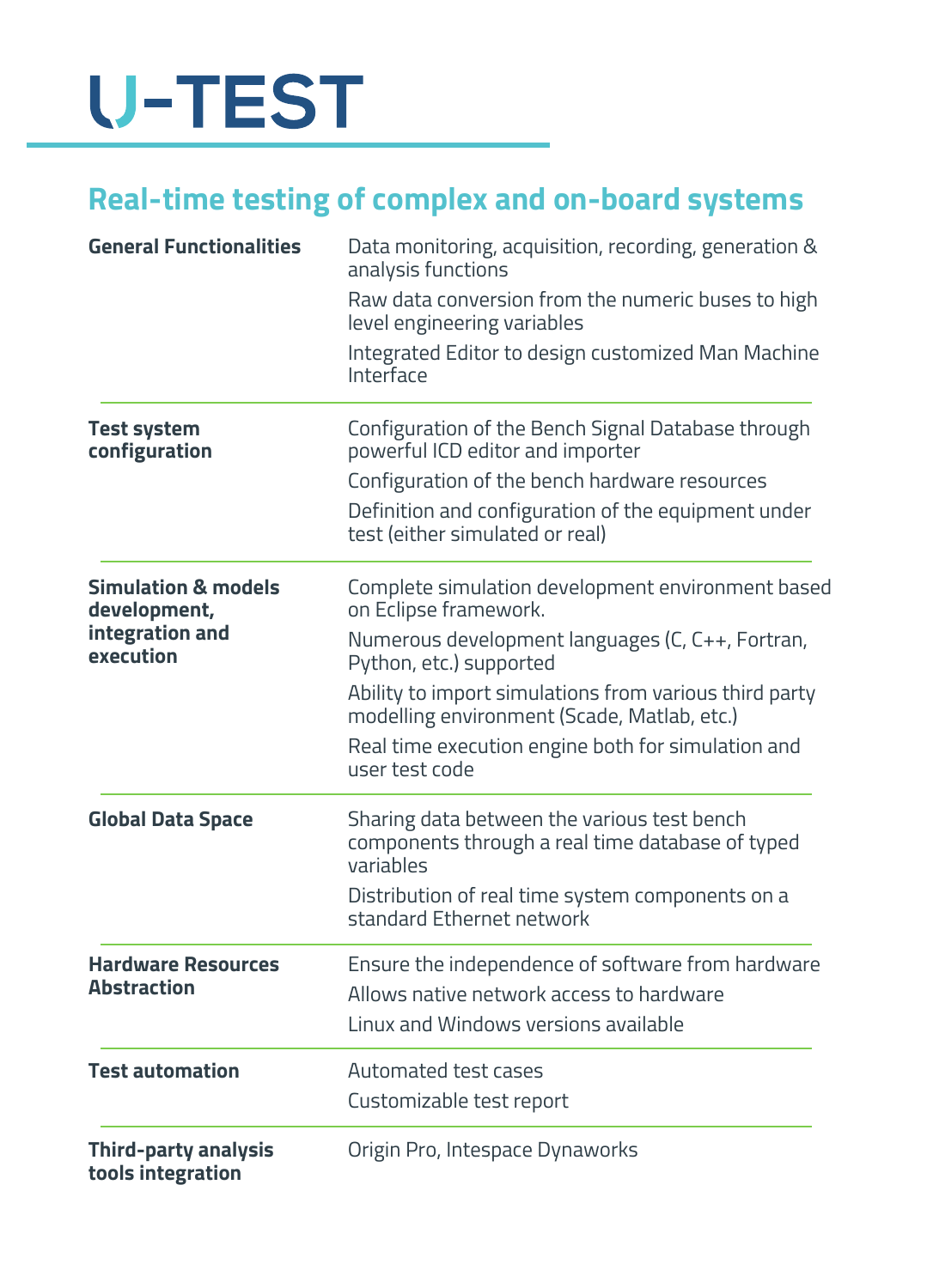

## **Real-time testing of complex and on-board systems**

| <b>General Functionalities</b>                   | Data monitoring, acquisition, recording, generation &<br>analysis functions                                  |
|--------------------------------------------------|--------------------------------------------------------------------------------------------------------------|
|                                                  | Raw data conversion from the numeric buses to high<br>level engineering variables                            |
|                                                  | Integrated Editor to design customized Man Machine<br>Interface                                              |
| <b>Test system</b><br>configuration              | Configuration of the Bench Signal Database through<br>powerful ICD editor and importer                       |
|                                                  | Configuration of the bench hardware resources                                                                |
|                                                  | Definition and configuration of the equipment under<br>test (either simulated or real)                       |
| <b>Simulation &amp; models</b><br>development,   | Complete simulation development environment based<br>on Eclipse framework.                                   |
| integration and<br>execution                     | Numerous development languages (C, C++, Fortran,<br>Python, etc.) supported                                  |
|                                                  | Ability to import simulations from various third party<br>modelling environment (Scade, Matlab, etc.)        |
|                                                  | Real time execution engine both for simulation and<br>user test code                                         |
| <b>Global Data Space</b>                         | Sharing data between the various test bench<br>components through a real time database of typed<br>variables |
|                                                  | Distribution of real time system components on a<br>standard Ethernet network                                |
| <b>Hardware Resources</b><br><b>Abstraction</b>  | Ensure the independence of software from hardware                                                            |
|                                                  | Allows native network access to hardware                                                                     |
|                                                  | Linux and Windows versions available                                                                         |
| <b>Test automation</b>                           | Automated test cases                                                                                         |
|                                                  | Customizable test report                                                                                     |
| <b>Third-party analysis</b><br>tools integration | Origin Pro, Intespace Dynaworks                                                                              |